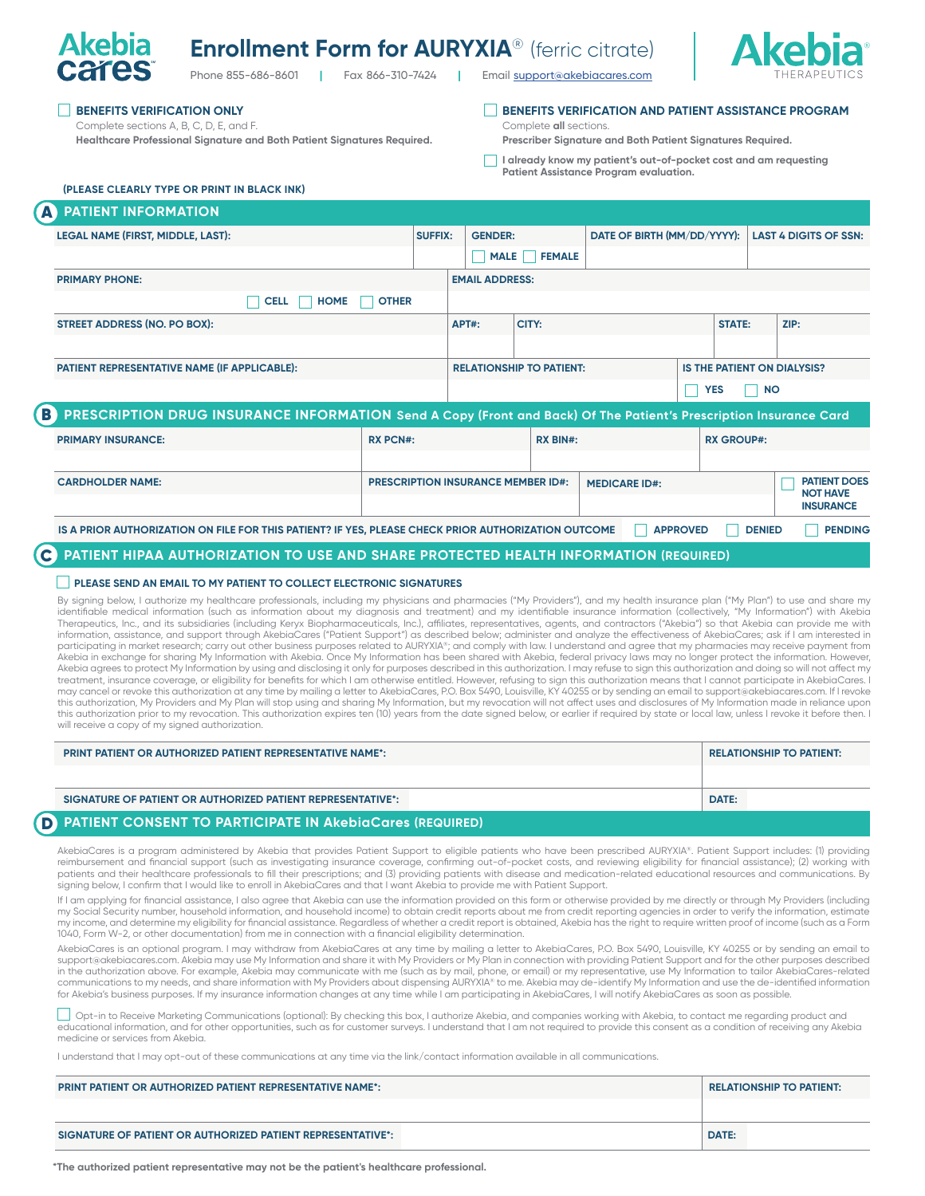# **Enrollment Form for AURYXIA®** (ferric citrate)



Phone 855-686-8601 **|** Fax 866-310-7424 **|** Email [support@akebiacares.com](mailto:Emailsupport%40akebiacares.com?subject=)

### **BENEFITS VERIFICATION ONLY**

**Akebia** 

Complete sections A, B, C, D, E, and F. **Healthcare Professional Signature and Both Patient Signatures Required.** **BENEFITS VERIFICATION AND PATIENT ASSISTANCE PROGRAM** Complete **all** sections.

**Prescriber Signature and Both Patient Signatures Required.** 

**I already know my patient's out-of-pocket cost and am requesting Patient Assistance Program evaluation.**

#### **(PLEASE CLEARLY TYPE OR PRINT IN BLACK INK)**

|              | <b>A PATIENT INFORMATION</b>                                                                                      |                 |                |                                           |                                 |                             |                 |                   |               |                                                            |
|--------------|-------------------------------------------------------------------------------------------------------------------|-----------------|----------------|-------------------------------------------|---------------------------------|-----------------------------|-----------------|-------------------|---------------|------------------------------------------------------------|
|              | LEGAL NAME (FIRST, MIDDLE, LAST):                                                                                 |                 | <b>SUFFIX:</b> | <b>GENDER:</b>                            |                                 | DATE OF BIRTH (MM/DD/YYYY): |                 |                   |               | <b>LAST 4 DIGITS OF SSN:</b>                               |
|              |                                                                                                                   |                 |                | $\Box$<br><b>MALE</b>                     | <b>FEMALE</b>                   |                             |                 |                   |               |                                                            |
|              | <b>PRIMARY PHONE:</b>                                                                                             |                 |                | <b>EMAIL ADDRESS:</b>                     |                                 |                             |                 |                   |               |                                                            |
|              | <b>CELL</b><br><b>HOME</b>                                                                                        | <b>OTHER</b>    |                |                                           |                                 |                             |                 |                   |               |                                                            |
|              | <b>STREET ADDRESS (NO. PO BOX):</b>                                                                               |                 |                | APT#:                                     | CITY:                           |                             |                 | <b>STATE:</b>     |               | ZIP:                                                       |
|              |                                                                                                                   |                 |                |                                           |                                 |                             |                 |                   |               |                                                            |
|              | PATIENT REPRESENTATIVE NAME (IF APPLICABLE):                                                                      |                 |                |                                           | <b>RELATIONSHIP TO PATIENT:</b> |                             |                 |                   |               | <b>IS THE PATIENT ON DIALYSIS?</b>                         |
|              |                                                                                                                   |                 |                |                                           |                                 |                             |                 | <b>YES</b>        | <b>NO</b>     |                                                            |
| B)           | PRESCRIPTION DRUG INSURANCE INFORMATION Send A Copy (Front and Back) Of The Patient's Prescription Insurance Card |                 |                |                                           |                                 |                             |                 |                   |               |                                                            |
|              | <b>PRIMARY INSURANCE:</b>                                                                                         | <b>RX PCN#:</b> |                |                                           | <b>RX BIN#:</b>                 |                             |                 | <b>RX GROUP#:</b> |               |                                                            |
|              |                                                                                                                   |                 |                |                                           |                                 |                             |                 |                   |               |                                                            |
|              | <b>CARDHOLDER NAME:</b>                                                                                           |                 |                | <b>PRESCRIPTION INSURANCE MEMBER ID#:</b> |                                 | <b>MEDICARE ID#:</b>        |                 |                   |               | <b>PATIENT DOES</b><br><b>NOT HAVE</b><br><b>INSURANCE</b> |
|              | IS A PRIOR AUTHORIZATION ON FILE FOR THIS PATIENT? IF YES, PLEASE CHECK PRIOR AUTHORIZATION OUTCOME               |                 |                |                                           |                                 |                             | <b>APPROVED</b> |                   | <b>DENIED</b> | <b>PENDING</b>                                             |
| $\mathbf{C}$ | PATIENT HIPAA AUTHORIZATION TO USE AND SHARE PROTECTED HEALTH INFORMATION (REQUIRED)                              |                 |                |                                           |                                 |                             |                 |                   |               |                                                            |

#### **PLEASE SEND AN EMAIL TO MY PATIENT TO COLLECT ELECTRONIC SIGNATURES**

By signing below, I authorize my healthcare professionals, including my physicians and pharmacies ("My Providers"), and my health insurance plan ("My Plan") to use and share my identifiable medical information (such as information about my diagnosis and treatment) and my identifiable insurance information (collectively, "My Information") with Akebia Therapeutics, Inc., and its subsidiaries (including Keryx Biopharmaceuticals, Inc.), affiliates, representatives, agents, and contractors ("Akebia") so that Akebia can provide me with information, assistance, and support through AkebiaCares ("Patient Support") as described below; administer and analyze the effectiveness of AkebiaCares; ask if I am interested in participating in market research; carry out other business purposes related to AURYXIA®; and comply with law. I understand and agree that my pharmacies may receive payment from Akebia in exchange for sharing My Information with Akebia. Once My Information has been shared with Akebia, federal privacy laws may no longer protect the information. However, Akebia agrees to protect My Information by using and disclosing it only for purposes described in this authorization. I may refuse to sign this authorization and doing so will not affect my treatment, insurance coverage, or eligibility for benefits for which I am otherwise entitled. However, refusing to sign this authorization means that I cannot participate in AkebiaCares. I may cancel or revoke this authorization at any time by mailing a letter to AkebiaCares, P.O. Box 5490, Louisville, KY 40255 or by sending an email to support@akebiacares.com. If I revoke this authorization, My Providers and My Plan will stop using and sharing My Information, but my revocation will not affect uses and disclosures of My Information made in reliance upon this authorization prior to my revocation. This authorization expires ten (10) years from the date signed below, or earlier if required by state or local law, unless I revoke it before then. I will receive a copy of my signed authorization.

| <b>PRINT PATIENT OR AUTHORIZED PATIENT REPRESENTATIVE NAME*:</b>         | <b>RELATIONSHIP TO PATIENT:</b> |
|--------------------------------------------------------------------------|---------------------------------|
|                                                                          |                                 |
| SIGNATURE OF PATIENT OR AUTHORIZED PATIENT REPRESENTATIVE <sup>*</sup> : | DATE:                           |
| <b>DATIENT CONSENT TO DADTICIDATE IN ALABIACATAS (DEQUIDED)</b>          |                                 |

#### **PATIENT CONSENT TO PARTICIPATE IN AkebiaCares (REQUIRED)** D

AkebiaCares is a program administered by Akebia that provides Patient Support to eligible patients who have been prescribed AURYXIA®. Patient Support includes: (1) providing reimbursement and financial support (such as investigating insurance coverage, confirming out-of-pocket costs, and reviewing eligibility for financial assistance); (2) working with patients and their healthcare professionals to fill their prescriptions; and (3) providing patients with disease and medication-related educational resources and communications. By signing below, I confirm that I would like to enroll in AkebiaCares and that I want Akebia to provide me with Patient Support.

If I am applying for financial assistance, I also agree that Akebia can use the information provided on this form or otherwise provided by me directly or through My Providers (including my Social Security number, household information, and household income) to obtain credit reports about me from credit reporting agencies in order to verify the information, estimate my income, and determine my eligibility for financial assistance. Regardless of whether a credit report is obtained, Akebia has the right to require written proof of income (such as a Form 1040, Form W-2, or other documentation) from me in connection with a financial eligibility determination.

AkebiaCares is an optional program. I may withdraw from AkebiaCares at any time by mailing a letter to AkebiaCares, P.O. Box 5490, Louisville, KY 40255 or by sending an email to support@akebiacares.com. Akebia may use My Information and share it with My Providers or My Plan in connection with providing Patient Support and for the other purposes described in the authorization above. For example, Akebia may communicate with me (such as by mail, phone, or email) or my representative, use My Information to tailor AkebiaCares-related<br>communications to my needs, and share inform for Akebia's business purposes. If my insurance information changes at any time while I am participating in AkebiaCares, I will notify AkebiaCares as soon as possible

Opt-in to Receive Marketing Communications (optional): By checking this box, I authorize Akebia, and companies working with Akebia, to contact me regarding product and educational information, and for other opportunities, such as for customer surveys. I understand that I am not required to provide this consent as a condition of receiving any Akebia medicine or services from Akebia.

I understand that I may opt-out of these communications at any time via the link/contact information available in all communications.

| <b>PRINT PATIENT OR AUTHORIZED PATIENT REPRESENTATIVE NAME*:</b> | <b>RELATIONSHIP TO PATIENT:</b> |
|------------------------------------------------------------------|---------------------------------|
|                                                                  |                                 |
| SIGNATURE OF PATIENT OR AUTHORIZED PATIENT REPRESENTATIVE*:      | <b>DATE:</b>                    |

**\*The authorized patient representative may not be the patient's healthcare professional.**